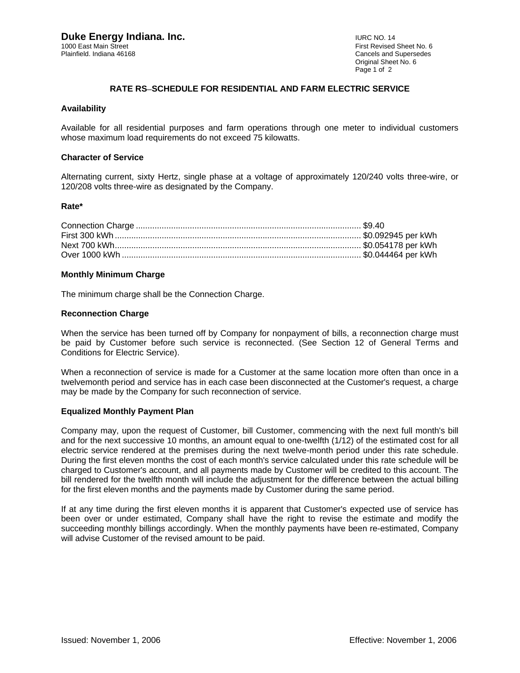Cancels and Supersedes Original Sheet No. 6 Page 1 of 2

## **RATE RS**−**SCHEDULE FOR RESIDENTIAL AND FARM ELECTRIC SERVICE**

### **Availability**

Available for all residential purposes and farm operations through one meter to individual customers whose maximum load requirements do not exceed 75 kilowatts.

### **Character of Service**

Alternating current, sixty Hertz, single phase at a voltage of approximately 120/240 volts three-wire, or 120/208 volts three-wire as designated by the Company.

## **Rate\***

## **Monthly Minimum Charge**

The minimum charge shall be the Connection Charge.

## **Reconnection Charge**

When the service has been turned off by Company for nonpayment of bills, a reconnection charge must be paid by Customer before such service is reconnected. (See Section 12 of General Terms and Conditions for Electric Service).

When a reconnection of service is made for a Customer at the same location more often than once in a twelvemonth period and service has in each case been disconnected at the Customer's request, a charge may be made by the Company for such reconnection of service.

### **Equalized Monthly Payment Plan**

Company may, upon the request of Customer, bill Customer, commencing with the next full month's bill and for the next successive 10 months, an amount equal to one-twelfth (1/12) of the estimated cost for all electric service rendered at the premises during the next twelve-month period under this rate schedule. During the first eleven months the cost of each month's service calculated under this rate schedule will be charged to Customer's account, and all payments made by Customer will be credited to this account. The bill rendered for the twelfth month will include the adjustment for the difference between the actual billing for the first eleven months and the payments made by Customer during the same period.

If at any time during the first eleven months it is apparent that Customer's expected use of service has been over or under estimated, Company shall have the right to revise the estimate and modify the succeeding monthly billings accordingly. When the monthly payments have been re-estimated, Company will advise Customer of the revised amount to be paid.